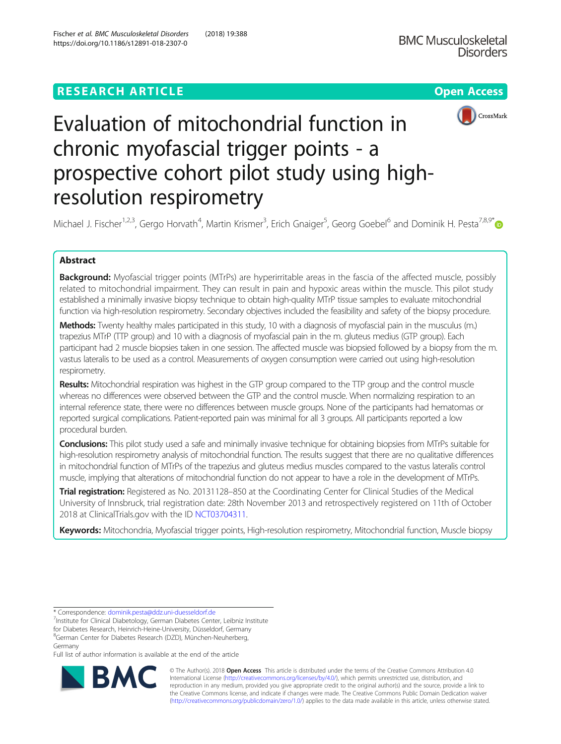## **RESEARCH ARTICLE Example 2014 12:30 The Contract of Contract ACCESS**



# Evaluation of mitochondrial function in chronic myofascial trigger points - a prospective cohort pilot study using highresolution respirometry

Michael J. Fischer<sup>1,2,3</sup>, Gergo Horvath<sup>4</sup>, Martin Krismer<sup>3</sup>, Erich Gnaiger<sup>5</sup>, Georg Goebel<sup>6</sup> and Dominik H. Pesta<sup>7,8,9[\\*](http://orcid.org/0000-0002-5089-3586)</sup>

## Abstract

Background: Myofascial trigger points (MTrPs) are hyperirritable areas in the fascia of the affected muscle, possibly related to mitochondrial impairment. They can result in pain and hypoxic areas within the muscle. This pilot study established a minimally invasive biopsy technique to obtain high-quality MTrP tissue samples to evaluate mitochondrial function via high-resolution respirometry. Secondary objectives included the feasibility and safety of the biopsy procedure.

Methods: Twenty healthy males participated in this study, 10 with a diagnosis of myofascial pain in the musculus (m.) trapezius MTrP (TTP group) and 10 with a diagnosis of myofascial pain in the m. gluteus medius (GTP group). Each participant had 2 muscle biopsies taken in one session. The affected muscle was biopsied followed by a biopsy from the m. vastus lateralis to be used as a control. Measurements of oxygen consumption were carried out using high-resolution respirometry.

Results: Mitochondrial respiration was highest in the GTP group compared to the TTP group and the control muscle whereas no differences were observed between the GTP and the control muscle. When normalizing respiration to an internal reference state, there were no differences between muscle groups. None of the participants had hematomas or reported surgical complications. Patient-reported pain was minimal for all 3 groups. All participants reported a low procedural burden.

Conclusions: This pilot study used a safe and minimally invasive technique for obtaining biopsies from MTrPs suitable for high-resolution respirometry analysis of mitochondrial function. The results suggest that there are no qualitative differences in mitochondrial function of MTrPs of the trapezius and gluteus medius muscles compared to the vastus lateralis control muscle, implying that alterations of mitochondrial function do not appear to have a role in the development of MTrPs.

Trial registration: Registered as No. 20131128-850 at the Coordinating Center for Clinical Studies of the Medical University of Innsbruck, trial registration date: 28th November 2013 and retrospectively registered on 11th of October 2018 at ClinicalTrials.gov with the ID [NCT03704311](https://clinicaltrials.gov/).

Keywords: Mitochondria, Myofascial trigger points, High-resolution respirometry, Mitochondrial function, Muscle biopsy

8 German Center for Diabetes Research (DZD), München-Neuherberg, Germany

Full list of author information is available at the end of the article



© The Author(s). 2018 Open Access This article is distributed under the terms of the Creative Commons Attribution 4.0 International License [\(http://creativecommons.org/licenses/by/4.0/](http://creativecommons.org/licenses/by/4.0/)), which permits unrestricted use, distribution, and reproduction in any medium, provided you give appropriate credit to the original author(s) and the source, provide a link to the Creative Commons license, and indicate if changes were made. The Creative Commons Public Domain Dedication waiver [\(http://creativecommons.org/publicdomain/zero/1.0/](http://creativecommons.org/publicdomain/zero/1.0/)) applies to the data made available in this article, unless otherwise stated.

<sup>\*</sup> Correspondence: [dominik.pesta@ddz.uni-duesseldorf.de](mailto:dominik.pesta@ddz.uni-duesseldorf.de) <sup>7</sup>

Institute for Clinical Diabetology, German Diabetes Center, Leibniz Institute for Diabetes Research, Heinrich-Heine-University, Düsseldorf, Germany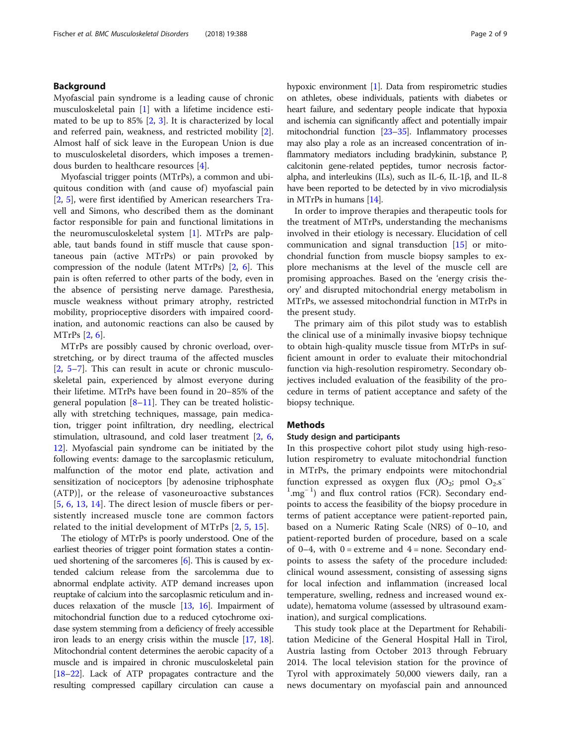## Background

Myofascial pain syndrome is a leading cause of chronic musculoskeletal pain [\[1](#page-7-0)] with a lifetime incidence estimated to be up to  $85\%$  [\[2](#page-7-0), [3](#page-7-0)]. It is characterized by local and referred pain, weakness, and restricted mobility [\[2](#page-7-0)]. Almost half of sick leave in the European Union is due to musculoskeletal disorders, which imposes a tremendous burden to healthcare resources [\[4\]](#page-7-0).

Myofascial trigger points (MTrPs), a common and ubiquitous condition with (and cause of) myofascial pain [[2,](#page-7-0) [5](#page-7-0)], were first identified by American researchers Travell and Simons, who described them as the dominant factor responsible for pain and functional limitations in the neuromusculoskeletal system [[1\]](#page-7-0). MTrPs are palpable, taut bands found in stiff muscle that cause spontaneous pain (active MTrPs) or pain provoked by compression of the nodule (latent MTrPs) [[2,](#page-7-0) [6\]](#page-7-0). This pain is often referred to other parts of the body, even in the absence of persisting nerve damage. Paresthesia, muscle weakness without primary atrophy, restricted mobility, proprioceptive disorders with impaired coordination, and autonomic reactions can also be caused by MTrPs [\[2](#page-7-0), [6](#page-7-0)].

MTrPs are possibly caused by chronic overload, overstretching, or by direct trauma of the affected muscles [[2,](#page-7-0) [5](#page-7-0)–[7](#page-7-0)]. This can result in acute or chronic musculoskeletal pain, experienced by almost everyone during their lifetime. MTrPs have been found in 20–85% of the general population  $[8-11]$  $[8-11]$  $[8-11]$  $[8-11]$  $[8-11]$ . They can be treated holistically with stretching techniques, massage, pain medication, trigger point infiltration, dry needling, electrical stimulation, ultrasound, and cold laser treatment [\[2,](#page-7-0) [6](#page-7-0), [12\]](#page-7-0). Myofascial pain syndrome can be initiated by the following events: damage to the sarcoplasmic reticulum, malfunction of the motor end plate, activation and sensitization of nociceptors [by adenosine triphosphate (ATP)], or the release of vasoneuroactive substances [[5](#page-7-0), [6,](#page-7-0) [13](#page-7-0), [14\]](#page-7-0). The direct lesion of muscle fibers or persistently increased muscle tone are common factors related to the initial development of MTrPs [[2](#page-7-0), [5](#page-7-0), [15\]](#page-7-0).

The etiology of MTrPs is poorly understood. One of the earliest theories of trigger point formation states a continued shortening of the sarcomeres [[6](#page-7-0)]. This is caused by extended calcium release from the sarcolemma due to abnormal endplate activity. ATP demand increases upon reuptake of calcium into the sarcoplasmic reticulum and induces relaxation of the muscle [[13,](#page-7-0) [16\]](#page-7-0). Impairment of mitochondrial function due to a reduced cytochrome oxidase system stemming from a deficiency of freely accessible iron leads to an energy crisis within the muscle [\[17,](#page-7-0) [18](#page-7-0)]. Mitochondrial content determines the aerobic capacity of a muscle and is impaired in chronic musculoskeletal pain [[18](#page-7-0)–[22](#page-7-0)]. Lack of ATP propagates contracture and the resulting compressed capillary circulation can cause a hypoxic environment [\[1\]](#page-7-0). Data from respirometric studies on athletes, obese individuals, patients with diabetes or heart failure, and sedentary people indicate that hypoxia and ischemia can significantly affect and potentially impair mitochondrial function [\[23](#page-7-0)–[35\]](#page-7-0). Inflammatory processes may also play a role as an increased concentration of inflammatory mediators including bradykinin, substance P, calcitonin gene-related peptides, tumor necrosis factoralpha, and interleukins (ILs), such as IL-6, IL-1β, and IL-8 have been reported to be detected by in vivo microdialysis in MTrPs in humans [\[14\]](#page-7-0).

In order to improve therapies and therapeutic tools for the treatment of MTrPs, understanding the mechanisms involved in their etiology is necessary. Elucidation of cell communication and signal transduction [[15](#page-7-0)] or mitochondrial function from muscle biopsy samples to explore mechanisms at the level of the muscle cell are promising approaches. Based on the 'energy crisis theory' and disrupted mitochondrial energy metabolism in MTrPs, we assessed mitochondrial function in MTrPs in the present study.

The primary aim of this pilot study was to establish the clinical use of a minimally invasive biopsy technique to obtain high-quality muscle tissue from MTrPs in sufficient amount in order to evaluate their mitochondrial function via high-resolution respirometry. Secondary objectives included evaluation of the feasibility of the procedure in terms of patient acceptance and safety of the biopsy technique.

## **Methods**

## Study design and participants

In this prospective cohort pilot study using high-resolution respirometry to evaluate mitochondrial function in MTrPs, the primary endpoints were mitochondrial function expressed as oxygen flux  $(JO_2; pmol O_2.s^-$ <sup>1</sup>.mg<sup>-1</sup>) and flux control ratios (FCR). Secondary endpoints to access the feasibility of the biopsy procedure in terms of patient acceptance were patient-reported pain, based on a Numeric Rating Scale (NRS) of 0–10, and patient-reported burden of procedure, based on a scale of 0–4, with  $0 =$  extreme and  $4 =$  none. Secondary endpoints to assess the safety of the procedure included: clinical wound assessment, consisting of assessing signs for local infection and inflammation (increased local temperature, swelling, redness and increased wound exudate), hematoma volume (assessed by ultrasound examination), and surgical complications.

This study took place at the Department for Rehabilitation Medicine of the General Hospital Hall in Tirol, Austria lasting from October 2013 through February 2014. The local television station for the province of Tyrol with approximately 50,000 viewers daily, ran a news documentary on myofascial pain and announced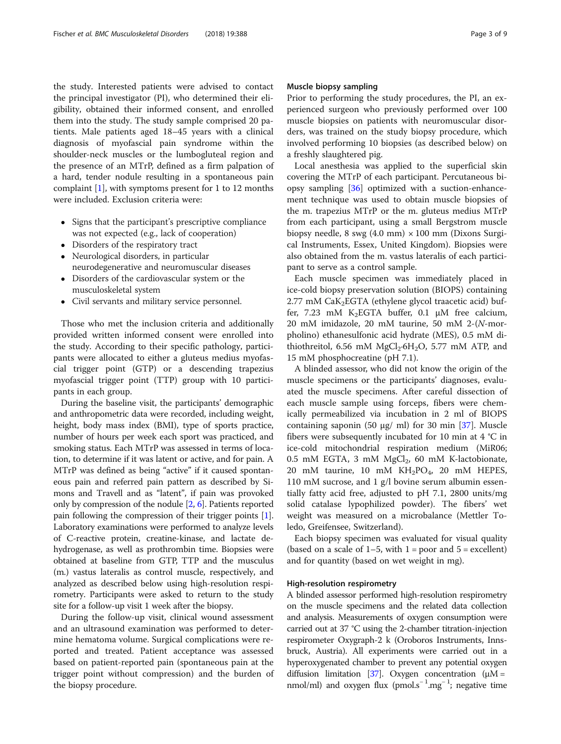the study. Interested patients were advised to contact the principal investigator (PI), who determined their eligibility, obtained their informed consent, and enrolled them into the study. The study sample comprised 20 patients. Male patients aged 18–45 years with a clinical diagnosis of myofascial pain syndrome within the shoulder-neck muscles or the lumbogluteal region and the presence of an MTrP, defined as a firm palpation of a hard, tender nodule resulting in a spontaneous pain complaint [[1](#page-7-0)], with symptoms present for 1 to 12 months were included. Exclusion criteria were:

- Signs that the participant's prescriptive compliance was not expected (e.g., lack of cooperation)
- Disorders of the respiratory tract
- Neurological disorders, in particular neurodegenerative and neuromuscular diseases
- Disorders of the cardiovascular system or the musculoskeletal system
- Civil servants and military service personnel.

Those who met the inclusion criteria and additionally provided written informed consent were enrolled into the study. According to their specific pathology, participants were allocated to either a gluteus medius myofascial trigger point (GTP) or a descending trapezius myofascial trigger point (TTP) group with 10 participants in each group.

During the baseline visit, the participants' demographic and anthropometric data were recorded, including weight, height, body mass index (BMI), type of sports practice, number of hours per week each sport was practiced, and smoking status. Each MTrP was assessed in terms of location, to determine if it was latent or active, and for pain. A MTrP was defined as being "active" if it caused spontaneous pain and referred pain pattern as described by Simons and Travell and as "latent", if pain was provoked only by compression of the nodule [\[2,](#page-7-0) [6](#page-7-0)]. Patients reported pain following the compression of their trigger points [[1](#page-7-0)]. Laboratory examinations were performed to analyze levels of C-reactive protein, creatine-kinase, and lactate dehydrogenase, as well as prothrombin time. Biopsies were obtained at baseline from GTP, TTP and the musculus (m.) vastus lateralis as control muscle, respectively, and analyzed as described below using high-resolution respirometry. Participants were asked to return to the study site for a follow-up visit 1 week after the biopsy.

During the follow-up visit, clinical wound assessment and an ultrasound examination was performed to determine hematoma volume. Surgical complications were reported and treated. Patient acceptance was assessed based on patient-reported pain (spontaneous pain at the trigger point without compression) and the burden of the biopsy procedure.

## Muscle biopsy sampling

Prior to performing the study procedures, the PI, an experienced surgeon who previously performed over 100 muscle biopsies on patients with neuromuscular disorders, was trained on the study biopsy procedure, which involved performing 10 biopsies (as described below) on a freshly slaughtered pig.

Local anesthesia was applied to the superficial skin covering the MTrP of each participant. Percutaneous biopsy sampling [[36\]](#page-7-0) optimized with a suction-enhancement technique was used to obtain muscle biopsies of the m. trapezius MTrP or the m. gluteus medius MTrP from each participant, using a small Bergstrom muscle biopsy needle, 8 swg (4.0 mm)  $\times$  100 mm (Dixons Surgical Instruments, Essex, United Kingdom). Biopsies were also obtained from the m. vastus lateralis of each participant to serve as a control sample.

Each muscle specimen was immediately placed in ice-cold biopsy preservation solution (BIOPS) containing  $2.77$  mM CaK<sub>2</sub>EGTA (ethylene glycol traacetic acid) buffer, 7.23 mM K<sub>2</sub>EGTA buffer, 0.1  $\mu$ M free calcium, 20 mM imidazole, 20 mM taurine, 50 mM 2-(N-morpholino) ethanesulfonic acid hydrate (MES), 0.5 mM dithiothreitol, 6.56 mM  $MgCl<sub>2</sub>·6H<sub>2</sub>O$ , 5.77 mM ATP, and 15 mM phosphocreatine (pH 7.1).

A blinded assessor, who did not know the origin of the muscle specimens or the participants' diagnoses, evaluated the muscle specimens. After careful dissection of each muscle sample using forceps, fibers were chemically permeabilized via incubation in 2 ml of BIOPS containing saponin (50 μg/ ml) for 30 min [\[37](#page-7-0)]. Muscle fibers were subsequently incubated for 10 min at 4 °C in ice-cold mitochondrial respiration medium (MiR06; 0.5 mM EGTA, 3 mM  $MgCl<sub>2</sub>$ , 60 mM K-lactobionate, 20 mM taurine, 10 mM  $KH_2PO_4$ , 20 mM HEPES, 110 mM sucrose, and 1 g/l bovine serum albumin essentially fatty acid free, adjusted to pH 7.1, 2800 units/mg solid catalase lypophilized powder). The fibers' wet weight was measured on a microbalance (Mettler Toledo, Greifensee, Switzerland).

Each biopsy specimen was evaluated for visual quality (based on a scale of  $1-5$ , with  $1 =$  poor and  $5 =$  excellent) and for quantity (based on wet weight in mg).

#### High-resolution respirometry

A blinded assessor performed high-resolution respirometry on the muscle specimens and the related data collection and analysis. Measurements of oxygen consumption were carried out at 37 °C using the 2-chamber titration-injection respirometer Oxygraph-2 k (Oroboros Instruments, Innsbruck, Austria). All experiments were carried out in a hyperoxygenated chamber to prevent any potential oxygen diffusion limitation [\[37](#page-7-0)]. Oxygen concentration ( $\mu$ M = nmol/ml) and oxygen flux (pmol.s<sup>-1</sup>.mg<sup>-1</sup>; negative time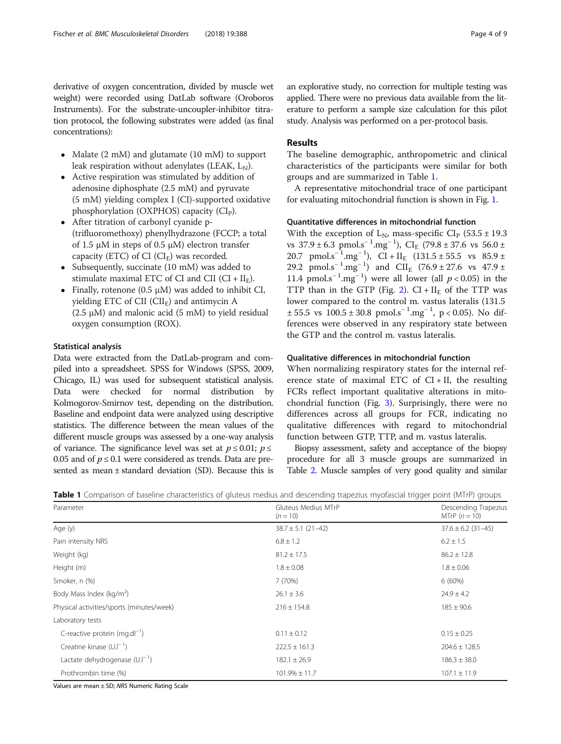derivative of oxygen concentration, divided by muscle wet weight) were recorded using DatLab software (Oroboros Instruments). For the substrate-uncoupler-inhibitor titration protocol, the following substrates were added (as final concentrations):

- Malate (2 mM) and glutamate (10 mM) to support leak respiration without adenylates (LEAK,  $L_{\text{N}}$ ).
- Active respiration was stimulated by addition of adenosine diphosphate (2.5 mM) and pyruvate (5 mM) yielding complex I (CI)-supported oxidative phosphorylation (OXPHOS) capacity  $(Cl_P)$ .
- After titration of carbonyl cyanide p- (trifluoromethoxy) phenylhydrazone (FCCP; a total of 1.5 μM in steps of 0.5 μM) electron transfer capacity (ETC) of CI ( $CI<sub>E</sub>$ ) was recorded.
- Subsequently, succinate (10 mM) was added to stimulate maximal ETC of CI and CII ( $CI + II_F$ ).
- Finally, rotenone (0.5 μM) was added to inhibit CI, yielding ETC of CII ( $ClI<sub>F</sub>$ ) and antimycin A  $(2.5 \mu M)$  and malonic acid  $(5 \mu M)$  to yield residual oxygen consumption (ROX).

## Statistical analysis

Data were extracted from the DatLab-program and compiled into a spreadsheet. SPSS for Windows (SPSS, 2009, Chicago, IL) was used for subsequent statistical analysis. Data were checked for normal distribution by Kolmogorov-Smirnov test, depending on the distribution. Baseline and endpoint data were analyzed using descriptive statistics. The difference between the mean values of the different muscle groups was assessed by a one-way analysis of variance. The significance level was set at  $p \le 0.01$ ;  $p \le$ 0.05 and of  $p \le 0.1$  were considered as trends. Data are presented as mean ± standard deviation (SD). Because this is an explorative study, no correction for multiple testing was applied. There were no previous data available from the literature to perform a sample size calculation for this pilot study. Analysis was performed on a per-protocol basis.

## Results

The baseline demographic, anthropometric and clinical characteristics of the participants were similar for both groups and are summarized in Table 1.

A representative mitochondrial trace of one participant for evaluating mitochondrial function is shown in Fig. [1.](#page-4-0)

## Quantitative differences in mitochondrial function

With the exception of  $L_{N}$ , mass-specific  $CI_{D}$  (53.5 ± 19.3) vs  $37.9 \pm 6.3$  pmol.s<sup>-1</sup>.mg<sup>-1</sup>), CI<sub>E</sub> (79.8 ± 37.6 vs 56.0 ± 20.7 pmol.s<sup>-1</sup>.mg<sup>-1</sup>), CI + II<sub>E</sub> (131.5 ± 55.5 vs 85.9 ± 29.2 pmol.s<sup>-1</sup>.mg<sup>-1</sup>) and CII<sub>E</sub> (76.9 ± 27.6 vs 47.9 ± 11.4 pmol.s<sup>-1</sup>.mg<sup>-1</sup>) were all lower (all  $p < 0.05$ ) in the TTP than in the GTP (Fig. [2\)](#page-4-0).  $CI + II_F$  of the TTP was lower compared to the control m. vastus lateralis (131.5  $\pm 55.5$  vs  $100.5 \pm 30.8$  pmol.s<sup>-1</sup>.mg<sup>-1</sup>, p < 0.05). No differences were observed in any respiratory state between the GTP and the control m. vastus lateralis.

## Qualitative differences in mitochondrial function

When normalizing respiratory states for the internal reference state of maximal ETC of  $CI + II$ , the resulting FCRs reflect important qualitative alterations in mitochondrial function (Fig. [3\)](#page-5-0). Surprisingly, there were no differences across all groups for FCR, indicating no qualitative differences with regard to mitochondrial function between GTP, TTP, and m. vastus lateralis.

Biopsy assessment, safety and acceptance of the biopsy procedure for all 3 muscle groups are summarized in Table [2.](#page-5-0) Muscle samples of very good quality and similar

|  |  |  |  |  |  | Table 1 Comparison of baseline characteristics of gluteus medius and descending trapezius myofascial trigger point (MTrP) groups |
|--|--|--|--|--|--|----------------------------------------------------------------------------------------------------------------------------------|
|--|--|--|--|--|--|----------------------------------------------------------------------------------------------------------------------------------|

| Parameter                                 | Gluteus Medius MTrP<br>$(n = 10)$ | Descending Trapezius<br>MTrP $(n = 10)$ |  |
|-------------------------------------------|-----------------------------------|-----------------------------------------|--|
| Age (y)                                   | $38.7 \pm 5.1$ (21-42)            | $37.6 \pm 6.2$ (31-45)                  |  |
| Pain intensity NRS                        | $6.8 \pm 1.2$                     | $6.2 \pm 1.5$                           |  |
| Weight (kg)                               | $81.2 \pm 17.5$                   | $86.2 \pm 12.8$                         |  |
| Height (m)                                | $1.8 \pm 0.08$                    | $1.8 \pm 0.06$                          |  |
| Smoker, n (%)                             | 7 (70%)                           | $6(60\%)$                               |  |
| Body Mass Index (kg/m <sup>2</sup> )      | $26.1 \pm 3.6$                    | $24.9 \pm 4.2$                          |  |
| Physical activities/sports (minutes/week) | $216 \pm 154.8$                   | $185 \pm 90.6$                          |  |
| Laboratory tests                          |                                   |                                         |  |
| C-reactive protein (mg.dl <sup>-1</sup> ) | $0.11 \pm 0.12$                   | $0.15 \pm 0.25$                         |  |
| Creatine kinase $(U.I^{-1})$              | $222.5 \pm 161.3$                 | $204.6 \pm 128.5$                       |  |
| Lactate dehydrogenase $(U.I^{-1})$        | $182.1 \pm 26.9$                  | $186.3 \pm 38.0$                        |  |
| Prothrombin time (%)                      | $101.9\% \pm 11.7$                | $107.1 \pm 11.9$                        |  |

Values are mean ± SD; NRS Numeric Rating Scale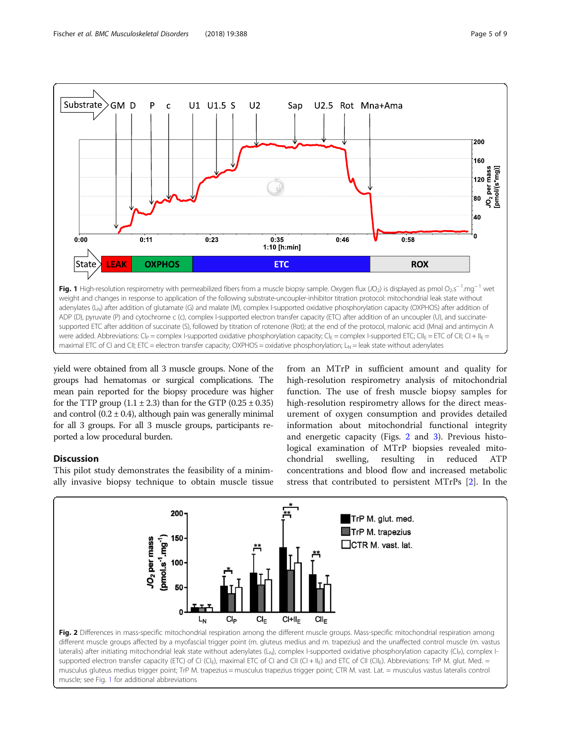<span id="page-4-0"></span>

yield were obtained from all 3 muscle groups. None of the groups had hematomas or surgical complications. The mean pain reported for the biopsy procedure was higher for the TTP group  $(1.1 \pm 2.3)$  than for the GTP  $(0.25 \pm 0.35)$ and control  $(0.2 \pm 0.4)$ , although pain was generally minimal for all 3 groups. For all 3 muscle groups, participants reported a low procedural burden.

## **Discussion**

This pilot study demonstrates the feasibility of a minimally invasive biopsy technique to obtain muscle tissue

from an MTrP in sufficient amount and quality for high-resolution respirometry analysis of mitochondrial function. The use of fresh muscle biopsy samples for high-resolution respirometry allows for the direct measurement of oxygen consumption and provides detailed information about mitochondrial functional integrity and energetic capacity (Figs. 2 and [3](#page-5-0)). Previous histological examination of MTrP biopsies revealed mitochondrial swelling, resulting in reduced ATP concentrations and blood flow and increased metabolic stress that contributed to persistent MTrPs [[2\]](#page-7-0). In the



lateralis) after initiating mitochondrial leak state without adenylates (L<sub>N</sub>), complex I-supported oxidative phosphorylation capacity (CI<sub>P</sub>), complex Isupported electron transfer capacity (ETC) of CI (CI<sub>E</sub>), maximal ETC of CI and CII (CI + II<sub>E</sub>) and ETC of CII (CII<sub>E</sub>). Abbreviations: TrP M. glut. Med. = musculus gluteus medius trigger point; TrP M. trapezius = musculus trapezius trigger point; CTR M. vast. Lat. = musculus vastus lateralis control muscle; see Fig. 1 for additional abbreviations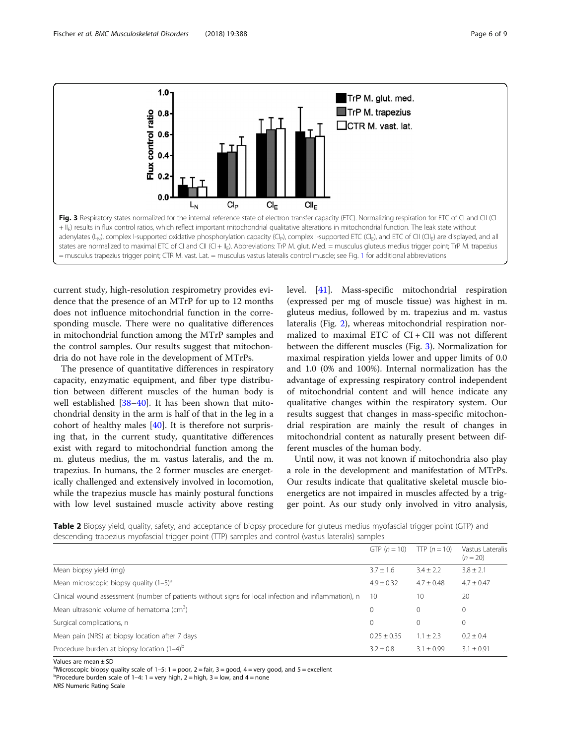<span id="page-5-0"></span>

current study, high-resolution respirometry provides evidence that the presence of an MTrP for up to 12 months does not influence mitochondrial function in the corresponding muscle. There were no qualitative differences in mitochondrial function among the MTrP samples and the control samples. Our results suggest that mitochondria do not have role in the development of MTrPs.

The presence of quantitative differences in respiratory capacity, enzymatic equipment, and fiber type distribution between different muscles of the human body is well established [\[38](#page-7-0)-[40](#page-7-0)]. It has been shown that mitochondrial density in the arm is half of that in the leg in a cohort of healthy males [\[40\]](#page-7-0). It is therefore not surprising that, in the current study, quantitative differences exist with regard to mitochondrial function among the m. gluteus medius, the m. vastus lateralis, and the m. trapezius. In humans, the 2 former muscles are energetically challenged and extensively involved in locomotion, while the trapezius muscle has mainly postural functions with low level sustained muscle activity above resting level. [\[41\]](#page-7-0). Mass-specific mitochondrial respiration (expressed per mg of muscle tissue) was highest in m. gluteus medius, followed by m. trapezius and m. vastus lateralis (Fig. [2](#page-4-0)), whereas mitochondrial respiration normalized to maximal ETC of  $CI + CII$  was not different between the different muscles (Fig. 3). Normalization for maximal respiration yields lower and upper limits of 0.0 and 1.0 (0% and 100%). Internal normalization has the advantage of expressing respiratory control independent of mitochondrial content and will hence indicate any qualitative changes within the respiratory system. Our results suggest that changes in mass-specific mitochondrial respiration are mainly the result of changes in mitochondrial content as naturally present between different muscles of the human body.

Until now, it was not known if mitochondria also play a role in the development and manifestation of MTrPs. Our results indicate that qualitative skeletal muscle bioenergetics are not impaired in muscles affected by a trigger point. As our study only involved in vitro analysis,

Table 2 Biopsy yield, quality, safety, and acceptance of biopsy procedure for gluteus medius myofascial trigger point (GTP) and descending trapezius myofascial trigger point (TTP) samples and control (vastus lateralis) samples

|                                                                                                      | GTP $(n = 10)$  | TTP $(n = 10)$ | Vastus Lateralis<br>$(n = 20)$ |
|------------------------------------------------------------------------------------------------------|-----------------|----------------|--------------------------------|
| Mean biopsy yield (mg)                                                                               | $3.7 \pm 1.6$   | $3.4 \pm 2.2$  | $3.8 \pm 2.1$                  |
| Mean microscopic biopsy quality $(1-5)^a$                                                            | $4.9 \pm 0.32$  | $4.7 + 0.48$   | $4.7 + 0.47$                   |
| Clinical wound assessment (number of patients without signs for local infection and inflammation), n | 10              | 10             | 20                             |
| Mean ultrasonic volume of hematoma $\text{cm}^3$ )                                                   | 0               | $\Omega$       | $\mathbf 0$                    |
| Surgical complications, n                                                                            | 0               | $\Omega$       | 0                              |
| Mean pain (NRS) at biopsy location after 7 days                                                      | $0.25 \pm 0.35$ | $1.1 + 2.3$    | $0.2 \pm 0.4$                  |
| Procedure burden at biopsy location $(1-4)^b$                                                        | $3.2 + 0.8$     | $3.1 \pm 0.99$ | $3.1 + 0.91$                   |

Values are mean ± SD

<sup>a</sup>Microscopic biopsy quality scale of 1–5: 1 = poor, 2 = fair, 3 = good, 4 = very good, and 5 = excellent<br><sup>b</sup>Procedure burden coale of 1, 4: 1 = very bigh 2 = bigh 2 = low, and 4 = pope

<sup>b</sup>Procedure burden scale of 1–4: 1 = very high, 2 = high, 3 = low, and 4 = none

NRS Numeric Rating Scale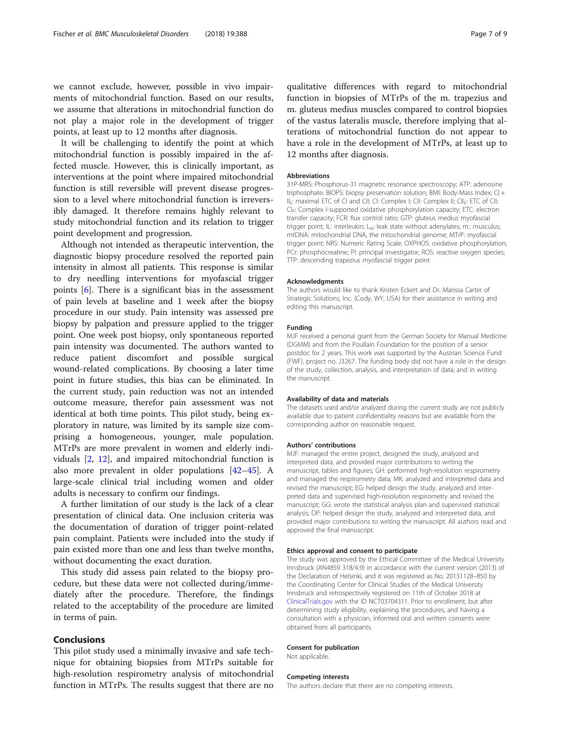we cannot exclude, however, possible in vivo impairments of mitochondrial function. Based on our results, we assume that alterations in mitochondrial function do not play a major role in the development of trigger points, at least up to 12 months after diagnosis.

It will be challenging to identify the point at which mitochondrial function is possibly impaired in the affected muscle. However, this is clinically important, as interventions at the point where impaired mitochondrial function is still reversible will prevent disease progression to a level where mitochondrial function is irreversibly damaged. It therefore remains highly relevant to study mitochondrial function and its relation to trigger point development and progression.

Although not intended as therapeutic intervention, the diagnostic biopsy procedure resolved the reported pain intensity in almost all patients. This response is similar to dry needling interventions for myofascial trigger points [\[6](#page-7-0)]. There is a significant bias in the assessment of pain levels at baseline and 1 week after the biopsy procedure in our study. Pain intensity was assessed pre biopsy by palpation and pressure applied to the trigger point. One week post biopsy, only spontaneous reported pain intensity was documented. The authors wanted to reduce patient discomfort and possible surgical wound-related complications. By choosing a later time point in future studies, this bias can be eliminated. In the current study, pain reduction was not an intended outcome measure, therefor pain assessment was not identical at both time points. This pilot study, being exploratory in nature, was limited by its sample size comprising a homogeneous, younger, male population. MTrPs are more prevalent in women and elderly individuals [[2](#page-7-0), [12\]](#page-7-0), and impaired mitochondrial function is also more prevalent in older populations [[42](#page-7-0)–[45](#page-8-0)]. A large-scale clinical trial including women and older adults is necessary to confirm our findings.

A further limitation of our study is the lack of a clear presentation of clinical data. One inclusion criteria was the documentation of duration of trigger point-related pain complaint. Patients were included into the study if pain existed more than one and less than twelve months, without documenting the exact duration.

This study did assess pain related to the biopsy procedure, but these data were not collected during/immediately after the procedure. Therefore, the findings related to the acceptability of the procedure are limited in terms of pain.

## Conclusions

This pilot study used a minimally invasive and safe technique for obtaining biopsies from MTrPs suitable for high-resolution respirometry analysis of mitochondrial function in MTrPs. The results suggest that there are no qualitative differences with regard to mitochondrial function in biopsies of MTrPs of the m. trapezius and m. gluteus medius muscles compared to control biopsies of the vastus lateralis muscle, therefore implying that alterations of mitochondrial function do not appear to have a role in the development of MTrPs, at least up to 12 months after diagnosis.

#### Abbreviations

31P-MRS: Phosphorus-31 magnetic resonance spectroscopy; ATP: adenosine triphosphate; BIOPS: biopsy preservation solution; BMI: Body-Mass Index; CI + II<sub>E</sub>: maximal ETC of CI and CII; CI: Complex I; CII: Complex II; CII<sub>E</sub>: ETC of CII; CI<sub>P</sub>: Complex I-supported oxidative phosphorylation capacity; ETC: electron transfer capacity; FCR: flux control ratio; GTP: gluteus medius myofascial trigger point; IL: interleukin; L<sub>N</sub>: leak state without adenylates; m.: musculus; mtDNA: mitochondrial DNA, the mitochondrial genome; MTrP: myofascial trigger point; NRS: Numeric Rating Scale; OXPHOS: oxidative phosphorylation; PCr: phosphocreatine; PI: principal investigator; ROS: reactive oxygen species; TTP: descending trapezius myofascial trigger point

#### Acknowledgments

The authors would like to thank Kristen Eckert and Dr. Marissa Carter of Strategic Solutions, Inc. (Cody, WY, USA) for their assistance in writing and editing this manuscript.

#### Funding

MJF received a personal grant from the German Society for Manual Medicine (DGMM) and from the Poullain Foundation for the position of a senior postdoc for 2 years. This work was supported by the Austrian Science Fund (FWF), project no. J3267. The funding body did not have a role in the design of the study, collection, analysis, and interpretation of data; and in writing the manuscript.

#### Availability of data and materials

The datasets used and/or analyzed during the current study are not publicly available due to patient confidentiality reasons but are available from the corresponding author on reasonable request.

#### Authors' contributions

MJF: managed the entire project, designed the study, analyzed and interpreted data, and provided major contributions to writing the manuscript, tables and figures; GH: performed high-resolution respirometry and managed the respirometry data; MK: analyzed and interpreted data and revised the manuscript; EG: helped design the study, analyzed and interpreted data and supervised high-resolution respirometry and revised the manuscript; GG: wrote the statistical analysis plan and supervised statistical analysis; DP: helped design the study, analyzed and interpreted data, and provided major contributions to writing the manuscript. All authors read and approved the final manuscript.

#### Ethics approval and consent to participate

The study was approved by the Ethical Committee of the Medical University Innsbruck (AN4859 318/4.9) in accordance with the current version (2013) of the Declaration of Helsinki, and it was registered as No. 20131128–850 by the Coordinating Center for Clinical Studies of the Medical University Innsbruck and retrospectively registered on 11th of October 2018 at [ClinicalTrials.gov](http://clinicaltrials.gov) with the ID NCT03704311. Prior to enrollment, but after determining study eligibility, explaining the procedures, and having a consultation with a physician, informed oral and written consents were obtained from all participants.

#### Consent for publication

Not applicable.

#### Competing interests

The authors declare that there are no competing interests.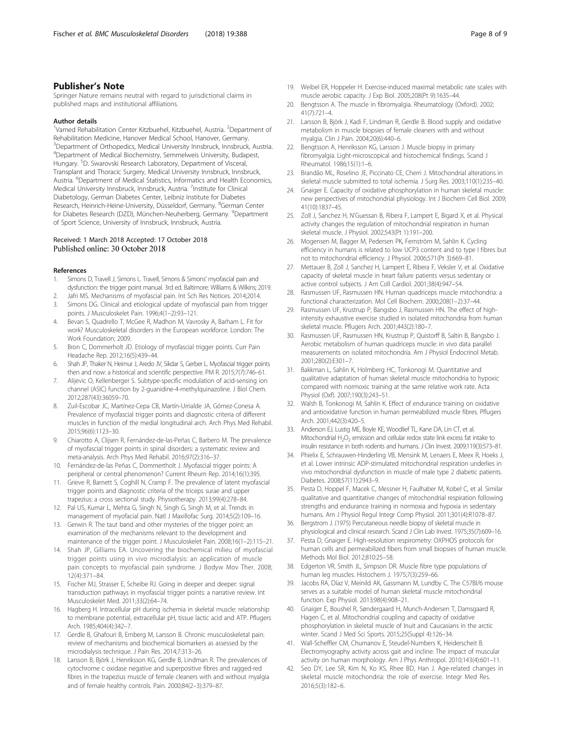## <span id="page-7-0"></span>Publisher's Note

Springer Nature remains neutral with regard to jurisdictional claims in published maps and institutional affiliations.

#### Author details

<sup>1</sup>Vamed Rehabilitation Center Kitzbuehel, Kitzbuehel, Austria. <sup>2</sup>Department of Rehabilitation Medicine, Hanover Medical School, Hanover, Germany. <sup>3</sup>Department of Orthopedics, Medical University Innsbruck, Innsbruck, Austria. 4 Department of Medical Biochemistry, Semmelweis University, Budapest, Hungary. <sup>5</sup>D. Swarovski Research Laboratory, Department of Visceral, Transplant and Thoracic Surgery, Medical University Innsbruck, Innsbruck, Austria. <sup>6</sup>Department of Medical Statistics, Informatics and Health Economics, Medical University Innsbruck, Innsbruck, Austria. <sup>7</sup>Institute for Clinical Diabetology, German Diabetes Center, Leibniz Institute for Diabetes Research, Heinrich-Heine-University, Düsseldorf, Germany. <sup>8</sup>German Center for Diabetes Research (DZD), München-Neuherberg, Germany. <sup>9</sup>Department of Sport Science, University of Innsbruck, Innsbruck, Austria.

#### Received: 1 March 2018 Accepted: 17 October 2018 Published online: 30 October 2018

#### References

- 1. Simons D, Travell J, Simons L. Travell, Simons & Simons' myofascial pain and dysfunction: the trigger point manual. 3rd ed. Baltimore: Williams & Wilkins; 2019.
- 2. Jafri MS. Mechanisms of myofascial pain. Int Sch Res Notices. 2014;2014. 3. Simons DG. Clinical and etiological update of myofascial pain from trigger points. J Musculoskelet Pain. 1996;4(1–2):93–121.
- 4. Bevan S, Quadrello T, McGee R, Madhon M, Vavrosky A, Barham L. Fit for work? Musculoskeletal disorders in the European workforce. London: The Work Foundation; 2009.
- 5. Bron C, Dommerholt JD. Etiology of myofascial trigger points. Curr Pain Headache Rep. 2012;16(5):439–44.
- 6. Shah JP, Thaker N, Heimur J, Aredo JV, Sikdar S, Gerber L. Myofascial trigger points then and now: a historical and scientific perspective. PM R. 2015;7(7):746–61.
- 7. Alijevic O, Kellenberger S. Subtype-specific modulation of acid-sensing ion channel (ASIC) function by 2-guanidine-4-methylquinazoline. J Biol Chem. 2012;287(43):36059–70.
- Zuil-Escobar JC, Martínez-Cepa CB, Martín-Urrialde JA, Gómez-Conesa A. Prevalence of myofascial trigger points and diagnostic criteria of different muscles in function of the medial longitudinal arch. Arch Phys Med Rehabil. 2015;96(6):1123–30.
- 9. Chiarotto A, Clijsen R, Fernández-de-las-Peñas C, Barbero M. The prevalence of myofascial trigger points in spinal disorders: a systematic review and meta-analysis. Arch Phys Med Rehabil. 2016;97(2):316–37.
- 10. Fernández-de-las Peñas C, Dommertholt J. Myofascial trigger points: A peripheral or central phenomenon? Current Rheum Rep. 2014;16(1):395.
- 11. Grieve R, Barnett S, Coghill N, Cramp F. The prevalence of latent myofascial trigger points and diagnostic criteria of the triceps surae and upper trapezius: a cross sectional study. Physiotherapy. 2013;99(4):278–84.
- 12. Pal US, Kumar L, Mehta G, Singh N, Singh G, Singh M, et al. Trends in management of myofacial pain. Natl J Maxillofac Surg. 2014;5(2):109–16.
- 13. Gerwin R. The taut band and other mysteries of the trigger point: an examination of the mechanisms relevant to the development and maintenance of the trigger point. J Musculoskelet Pain. 2008;16(1–2):115–21.
- 14. Shah JP, Gilliams EA. Uncovering the biochemical milieu of myofascial trigger points using in vivo microdialysis: an application of muscle pain concepts to myofascial pain syndrome. J Bodyw Mov Ther. 2008; 12(4):371–84.
- 15. Fischer MJ, Strasser E, Scheibe RJ. Going in deeper and deeper: signal transduction pathways in myofascial trigger points: a narrative review. Int Musculoskelet Med. 2011;33(2):64–74.
- 16. Hagberg H. Intracellular pH during ischemia in skeletal muscle: relationship to membrane potential, extracellular pH, tissue lactic acid and ATP. Pflugers Arch. 1985;404(4):342–7.
- 17. Gerdle B, Ghafouri B, Ernberg M, Larsson B. Chronic musculoskeletal pain: review of mechanisms and biochemical biomarkers as assessed by the microdialysis technique. J Pain Res. 2014;7:313–26.
- 18. Larsson B, Björk J, Henriksson KG, Gerdle B, Lindman R. The prevalences of cytochrome c oxidase negative and superpositive fibres and ragged-red fibres in the trapezius muscle of female cleaners with and without myalgia and of female healthy controls. Pain. 2000;84(2–3):379–87.
- 19. Weibel ER, Hoppeler H. Exercise-induced maximal metabolic rate scales with muscle aerobic capacity. J Exp Biol. 2005;208(Pt 9):1635–44.
- 20. Bengtsson A. The muscle in fibromyalgia. Rheumatology (Oxford). 2002; 41(7):721–4.
- 21. Larsson B, Björk J, Kadi F, Lindman R, Gerdle B. Blood supply and oxidative metabolism in muscle biopsies of female cleaners with and without myalgia. Clin J Pain. 2004;20(6):440–6.
- 22. Bengtsson A, Henriksson KG, Larsson J. Muscle biopsy in primary fibromyalgia. Light-microscopical and histochemical findings. Scand J Rheumatol. 1986;15(1):1–6.
- 23. Brandão ML, Roselino JE, Piccinato CE, Cherri J. Mitochondrial alterations in skeletal muscle submitted to total ischemia. J Surg Res. 2003;110(1):235–40.
- 24. Gnaiger E. Capacity of oxidative phosphorylation in human skeletal muscle: new perspectives of mitochondrial physiology. Int J Biochem Cell Biol. 2009; 41(10):1837–45.
- 25. Zoll J, Sanchez H, N'Guessan B, Ribera F, Lampert E, Bigard X, et al. Physical activity changes the regulation of mitochondrial respiration in human skeletal muscle. J Physiol. 2002;543(Pt 1):191–200.
- 26. Mogensen M, Bagger M, Pedersen PK, Fernström M, Sahlin K. Cycling efficiency in humans is related to low UCP3 content and to type I fibres but not to mitochondrial efficiency. J Physiol. 2006;571(Pt 3):669–81.
- 27. Mettauer B, Zoll J, Sanchez H, Lampert E, Ribera F, Veksler V, et al. Oxidative capacity of skeletal muscle in heart failure patients versus sedentary or active control subjects. J Am Coll Cardiol. 2001;38(4):947–54.
- 28. Rasmussen UF, Rasmussen HN. Human quadriceps muscle mitochondria: a functional characterization. Mol Cell Biochem. 2000;208(1–2):37–44.
- 29. Rasmussen UF, Krustrup P, Bangsbo J, Rasmussen HN. The effect of highintensity exhaustive exercise studied in isolated mitochondria from human skeletal muscle. Pflugers Arch. 2001;443(2):180–7.
- 30. Rasmussen UF, Rasmussen HN, Krustrup P, Quistorff B, Saltin B, Bangsbo J. Aerobic metabolism of human quadriceps muscle: in vivo data parallel measurements on isolated mitochondria. Am J Physiol Endocrinol Metab. 2001;280(2):E301–7.
- 31. Bakkman L, Sahlin K, Holmberg HC, Tonkonogi M. Quantitative and qualitative adaptation of human skeletal muscle mitochondria to hypoxic compared with normoxic training at the same relative work rate. Acta Physiol (Oxf). 2007;190(3):243–51.
- 32. Walsh B, Tonkonogi M, Sahlin K. Effect of endurance training on oxidative and antioxidative function in human permeabilized muscle fibres. Pflugers Arch. 2001;442(3):420–5.
- 33. Anderson EJ, Lustig ME, Boyle KE, Woodlief TL, Kane DA, Lin CT, et al. Mitochondrial  $H_2O_2$  emission and cellular redox state link excess fat intake to insulin resistance in both rodents and humans. J Clin Invest. 2009;119(3):573–81.
- 34. Phielix E, Schrauwen-Hinderling VB, Mensink M, Lenaers E, Meex R, Hoeks J, et al. Lower intrinsic ADP-stimulated mitochondrial respiration underlies in vivo mitochondrial dysfunction in muscle of male type 2 diabetic patients. Diabetes. 2008;57(11):2943–9.
- 35. Pesta D, Hoppel F, Macek C, Messner H, Faulhaber M, Kobel C, et al. Similar qualitative and quantitative changes of mitochondrial respiration following strengths and endurance training in normoxia and hypoxia in sedentary humans. Am J Physiol Regul Integr Comp Physiol. 2011;301(4):R1078–87.
- 36. Bergstrom J. (1975) Percutaneous needle biopsy of skeletal muscle in physiological and clinical research. Scand J Clin Lab Invest. 1975;35(7):609–16.
- 37. Pesta D, Gnaiger E. High-resolution respirometry: OXPHOS protocols for human cells and permeabilized fibers from small biopsies of human muscle. Methods Mol Biol. 2012;810:25–58.
- 38. Edgerton VR, Smith JL, Simpson DR. Muscle fibre type populations of human leg muscles. Histochem J. 1975;7(3):259–66.
- 39. Jacobs RA, Díaz V, Meinild AK, Gassmann M, Lundby C. The C57Bl/6 mouse serves as a suitable model of human skeletal muscle mitochondrial function. Exp Physiol. 2013;98(4):908–21.
- 40. Gnaiger E, Boushel R, Søndergaard H, Munch-Andersen T, Damsgaard R, Hagen C, et al. Mitochondrial coupling and capacity of oxidative phosphorylation in skeletal muscle of Inuit and Caucasians in the arctic winter. Scand J Med Sci Sports. 2015;25(Suppl 4):126–34.
- 41. Wall-Scheffler CM, Chumanov E, Steudel-Numbers K, Heiderscheit B. Electromyography activity across gait and incline: The impact of muscular activity on human morphology. Am J Phys Anthropol. 2010;143(4):601–11.
- 42. Seo DY, Lee SR, Kim N, Ko KS, Rhee BD, Han J. Age-related changes in skeletal muscle mitochondria: the role of exercise. Integr Med Res. 2016;5(3):182–6.